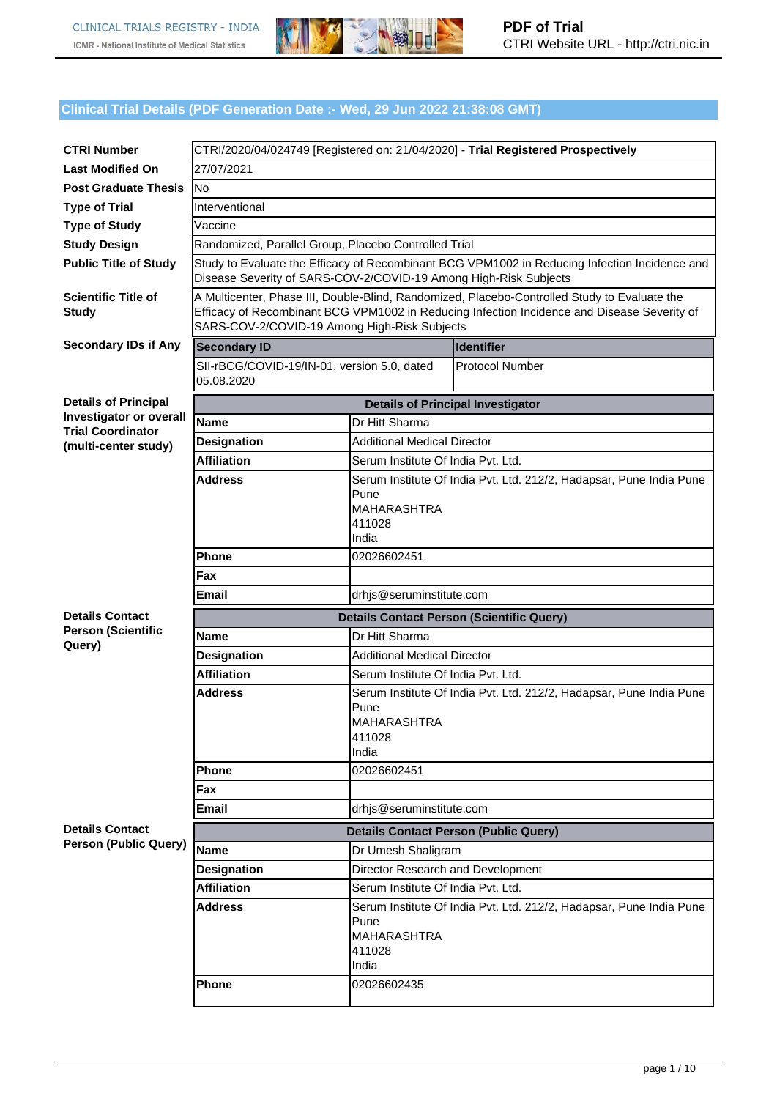

## **Clinical Trial Details (PDF Generation Date :- Wed, 29 Jun 2022 21:38:08 GMT)**

| <b>CTRI Number</b>                                         |                                                                                                                                                                                                                                             |                                    | CTRI/2020/04/024749 [Registered on: 21/04/2020] - Trial Registered Prospectively |  |
|------------------------------------------------------------|---------------------------------------------------------------------------------------------------------------------------------------------------------------------------------------------------------------------------------------------|------------------------------------|----------------------------------------------------------------------------------|--|
| <b>Last Modified On</b>                                    | 27/07/2021                                                                                                                                                                                                                                  |                                    |                                                                                  |  |
| <b>Post Graduate Thesis</b>                                | lNo                                                                                                                                                                                                                                         |                                    |                                                                                  |  |
| <b>Type of Trial</b>                                       | Interventional                                                                                                                                                                                                                              |                                    |                                                                                  |  |
| <b>Type of Study</b>                                       | Vaccine                                                                                                                                                                                                                                     |                                    |                                                                                  |  |
| <b>Study Design</b>                                        | Randomized, Parallel Group, Placebo Controlled Trial                                                                                                                                                                                        |                                    |                                                                                  |  |
| <b>Public Title of Study</b>                               | Study to Evaluate the Efficacy of Recombinant BCG VPM1002 in Reducing Infection Incidence and<br>Disease Severity of SARS-COV-2/COVID-19 Among High-Risk Subjects                                                                           |                                    |                                                                                  |  |
| <b>Scientific Title of</b><br><b>Study</b>                 | A Multicenter, Phase III, Double-Blind, Randomized, Placebo-Controlled Study to Evaluate the<br>Efficacy of Recombinant BCG VPM1002 in Reducing Infection Incidence and Disease Severity of<br>SARS-COV-2/COVID-19 Among High-Risk Subjects |                                    |                                                                                  |  |
| <b>Secondary IDs if Any</b>                                | <b>Secondary ID</b>                                                                                                                                                                                                                         |                                    | <b>Identifier</b>                                                                |  |
|                                                            | SII-rBCG/COVID-19/IN-01, version 5.0, dated<br>05.08.2020                                                                                                                                                                                   |                                    | <b>Protocol Number</b>                                                           |  |
| <b>Details of Principal</b>                                |                                                                                                                                                                                                                                             |                                    | <b>Details of Principal Investigator</b>                                         |  |
| <b>Investigator or overall</b><br><b>Trial Coordinator</b> | <b>Name</b>                                                                                                                                                                                                                                 | Dr Hitt Sharma                     |                                                                                  |  |
| (multi-center study)                                       | <b>Designation</b>                                                                                                                                                                                                                          | <b>Additional Medical Director</b> |                                                                                  |  |
|                                                            | <b>Affiliation</b>                                                                                                                                                                                                                          | Serum Institute Of India Pvt. Ltd. |                                                                                  |  |
|                                                            | Address                                                                                                                                                                                                                                     |                                    | Serum Institute Of India Pvt. Ltd. 212/2, Hadapsar, Pune India Pune              |  |
|                                                            |                                                                                                                                                                                                                                             | Pune                               |                                                                                  |  |
|                                                            |                                                                                                                                                                                                                                             | <b>MAHARASHTRA</b><br>411028       |                                                                                  |  |
|                                                            |                                                                                                                                                                                                                                             | India                              |                                                                                  |  |
|                                                            | <b>Phone</b>                                                                                                                                                                                                                                | 02026602451                        |                                                                                  |  |
|                                                            | Fax                                                                                                                                                                                                                                         |                                    |                                                                                  |  |
|                                                            | Email                                                                                                                                                                                                                                       | drhjs@seruminstitute.com           |                                                                                  |  |
| <b>Details Contact</b>                                     |                                                                                                                                                                                                                                             |                                    | <b>Details Contact Person (Scientific Query)</b>                                 |  |
| <b>Person (Scientific</b>                                  | <b>Name</b>                                                                                                                                                                                                                                 | Dr Hitt Sharma                     |                                                                                  |  |
| Query)                                                     | <b>Designation</b>                                                                                                                                                                                                                          | <b>Additional Medical Director</b> |                                                                                  |  |
|                                                            | <b>Affiliation</b>                                                                                                                                                                                                                          | Serum Institute Of India Pvt. Ltd. |                                                                                  |  |
|                                                            | <b>Address</b>                                                                                                                                                                                                                              |                                    | Serum Institute Of India Pvt. Ltd. 212/2, Hadapsar, Pune India Pune              |  |
|                                                            |                                                                                                                                                                                                                                             | Pune                               |                                                                                  |  |
|                                                            |                                                                                                                                                                                                                                             | <b>MAHARASHTRA</b><br>411028       |                                                                                  |  |
|                                                            |                                                                                                                                                                                                                                             | India                              |                                                                                  |  |
|                                                            | Phone                                                                                                                                                                                                                                       | 02026602451                        |                                                                                  |  |
|                                                            | Fax                                                                                                                                                                                                                                         |                                    |                                                                                  |  |
|                                                            | <b>Email</b>                                                                                                                                                                                                                                | drhis@seruminstitute.com           |                                                                                  |  |
| <b>Details Contact</b>                                     |                                                                                                                                                                                                                                             |                                    | <b>Details Contact Person (Public Query)</b>                                     |  |
| <b>Person (Public Query)</b>                               | <b>Name</b>                                                                                                                                                                                                                                 | Dr Umesh Shaligram                 |                                                                                  |  |
|                                                            | Designation                                                                                                                                                                                                                                 | Director Research and Development  |                                                                                  |  |
|                                                            | <b>Affiliation</b>                                                                                                                                                                                                                          | Serum Institute Of India Pvt. Ltd. |                                                                                  |  |
|                                                            | <b>Address</b>                                                                                                                                                                                                                              |                                    | Serum Institute Of India Pvt. Ltd. 212/2, Hadapsar, Pune India Pune              |  |
|                                                            |                                                                                                                                                                                                                                             | Pune                               |                                                                                  |  |
|                                                            |                                                                                                                                                                                                                                             | <b>MAHARASHTRA</b>                 |                                                                                  |  |
|                                                            |                                                                                                                                                                                                                                             | 411028<br>India                    |                                                                                  |  |
|                                                            | Phone                                                                                                                                                                                                                                       | 02026602435                        |                                                                                  |  |
|                                                            |                                                                                                                                                                                                                                             |                                    |                                                                                  |  |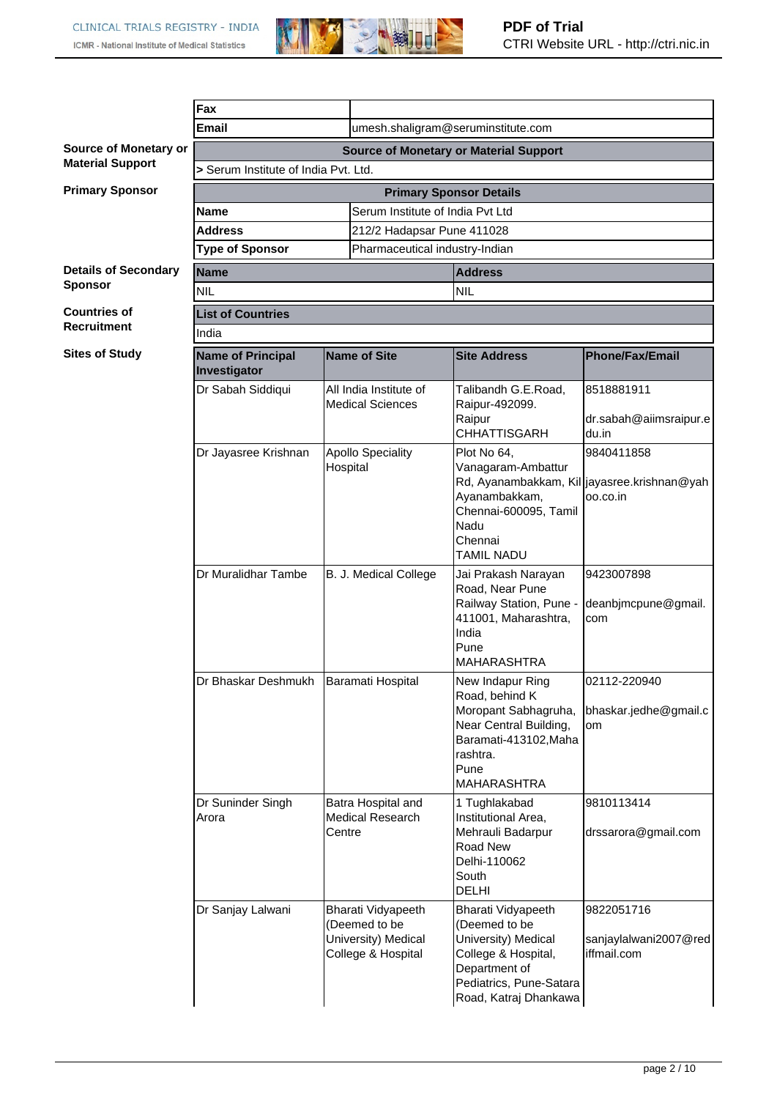

|                                                              | Fax                                                                                   |                                                  |                                                                                                                                                                    |                                                                                                                                                         |                                                    |
|--------------------------------------------------------------|---------------------------------------------------------------------------------------|--------------------------------------------------|--------------------------------------------------------------------------------------------------------------------------------------------------------------------|---------------------------------------------------------------------------------------------------------------------------------------------------------|----------------------------------------------------|
|                                                              | <b>Email</b>                                                                          |                                                  |                                                                                                                                                                    |                                                                                                                                                         |                                                    |
| Source of Monetary or                                        | umesh.shaligram@seruminstitute.com                                                    |                                                  |                                                                                                                                                                    |                                                                                                                                                         |                                                    |
| <b>Material Support</b>                                      | <b>Source of Monetary or Material Support</b><br>> Serum Institute of India Pvt. Ltd. |                                                  |                                                                                                                                                                    |                                                                                                                                                         |                                                    |
| <b>Primary Sponsor</b>                                       | <b>Primary Sponsor Details</b>                                                        |                                                  |                                                                                                                                                                    |                                                                                                                                                         |                                                    |
|                                                              | <b>Name</b>                                                                           |                                                  | Serum Institute of India Pyt Ltd                                                                                                                                   |                                                                                                                                                         |                                                    |
|                                                              | <b>Address</b>                                                                        |                                                  | 212/2 Hadapsar Pune 411028                                                                                                                                         |                                                                                                                                                         |                                                    |
|                                                              | <b>Type of Sponsor</b>                                                                |                                                  | Pharmaceutical industry-Indian                                                                                                                                     |                                                                                                                                                         |                                                    |
| <b>Details of Secondary</b>                                  | <b>Name</b><br><b>Address</b>                                                         |                                                  |                                                                                                                                                                    |                                                                                                                                                         |                                                    |
| <b>Sponsor</b>                                               | <b>NIL</b>                                                                            |                                                  |                                                                                                                                                                    | <b>NIL</b>                                                                                                                                              |                                                    |
| <b>Countries of</b>                                          | <b>List of Countries</b>                                                              |                                                  |                                                                                                                                                                    |                                                                                                                                                         |                                                    |
| <b>Recruitment</b>                                           | India                                                                                 |                                                  |                                                                                                                                                                    |                                                                                                                                                         |                                                    |
| <b>Sites of Study</b>                                        | <b>Name of Principal</b><br>Investigator                                              | Name of Site                                     |                                                                                                                                                                    | <b>Site Address</b>                                                                                                                                     | <b>Phone/Fax/Email</b>                             |
|                                                              | Dr Sabah Siddiqui                                                                     |                                                  | All India Institute of<br><b>Medical Sciences</b>                                                                                                                  | Talibandh G.E.Road,<br>Raipur-492099.<br>Raipur<br><b>CHHATTISGARH</b>                                                                                  | 8518881911<br>dr.sabah@aiimsraipur.e<br>du.in      |
| <b>Apollo Speciality</b><br>Dr Jayasree Krishnan<br>Hospital |                                                                                       |                                                  | Plot No 64,<br>Vanagaram-Ambattur<br>Rd, Ayanambakkam, Kil jayasree.krishnan@yah<br>Ayanambakkam,<br>Chennai-600095, Tamil<br>Nadu<br>Chennai<br><b>TAMIL NADU</b> | 9840411858<br>00.00.in                                                                                                                                  |                                                    |
|                                                              | Dr Muralidhar Tambe                                                                   | B. J. Medical College                            |                                                                                                                                                                    | Jai Prakash Narayan<br>Road, Near Pune<br>Railway Station, Pune -<br>411001, Maharashtra,<br>India<br>Pune<br><b>MAHARASHTRA</b>                        | 9423007898<br>deanbjmcpune@gmail.<br>com           |
|                                                              | Dr Bhaskar Deshmukh                                                                   | Baramati Hospital                                |                                                                                                                                                                    | New Indapur Ring<br>Road, behind K<br>Moropant Sabhagruha,<br>Near Central Building,<br>Baramati-413102, Maha<br>rashtra.<br>Pune<br><b>MAHARASHTRA</b> | 02112-220940<br>bhaskar.jedhe@gmail.c<br>om        |
|                                                              | Dr Suninder Singh<br>Arora                                                            | Batra Hospital and<br>Medical Research<br>Centre |                                                                                                                                                                    | 1 Tughlakabad<br>Institutional Area,<br>Mehrauli Badarpur<br>Road New<br>Delhi-110062<br>South<br>DELHI                                                 | 9810113414<br>drssarora@gmail.com                  |
|                                                              | Dr Sanjay Lalwani                                                                     |                                                  | Bharati Vidyapeeth<br>(Deemed to be<br>University) Medical<br>College & Hospital                                                                                   | Bharati Vidyapeeth<br>(Deemed to be<br>University) Medical<br>College & Hospital,<br>Department of<br>Pediatrics, Pune-Satara<br>Road, Katraj Dhankawa  | 9822051716<br>sanjaylalwani2007@red<br>iffmail.com |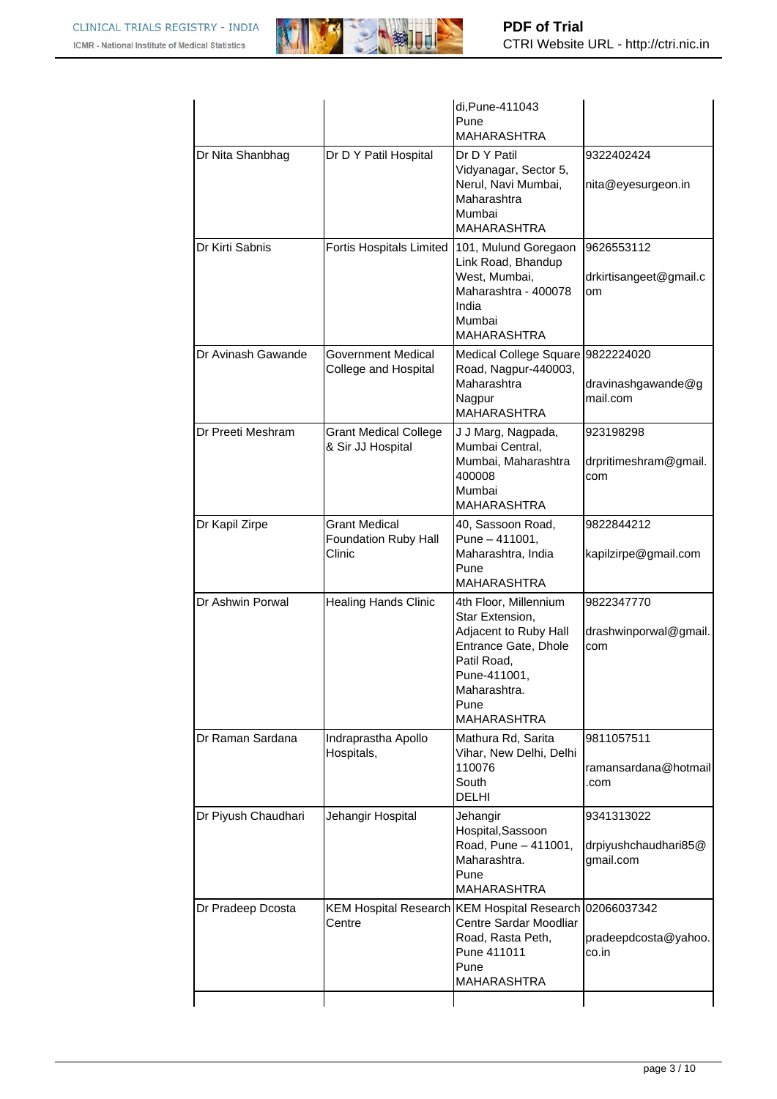

|                     |                                                        | di, Pune-411043<br>Pune<br><b>MAHARASHTRA</b>                                                                                                                          |                                                 |
|---------------------|--------------------------------------------------------|------------------------------------------------------------------------------------------------------------------------------------------------------------------------|-------------------------------------------------|
| Dr Nita Shanbhag    | Dr D Y Patil Hospital                                  | Dr D Y Patil<br>Vidyanagar, Sector 5,<br>Nerul, Navi Mumbai,<br>Maharashtra<br>Mumbai<br><b>MAHARASHTRA</b>                                                            | 9322402424<br>nita@eyesurgeon.in                |
| Dr Kirti Sabnis     | <b>Fortis Hospitals Limited</b>                        | 101, Mulund Goregaon<br>Link Road, Bhandup<br>West, Mumbai,<br>Maharashtra - 400078<br>India<br>Mumbai<br><b>MAHARASHTRA</b>                                           | 9626553112<br>drkirtisangeet@gmail.c<br>om      |
| Dr Avinash Gawande  | Government Medical<br>College and Hospital             | Medical College Square 9822224020<br>Road, Nagpur-440003,<br>Maharashtra<br>Nagpur<br><b>MAHARASHTRA</b>                                                               | dravinashgawande@g<br>mail.com                  |
| Dr Preeti Meshram   | <b>Grant Medical College</b><br>& Sir JJ Hospital      | J J Marg, Nagpada,<br>Mumbai Central,<br>Mumbai, Maharashtra<br>400008<br>Mumbai<br><b>MAHARASHTRA</b>                                                                 | 923198298<br>drpritimeshram@gmail.<br>com       |
| Dr Kapil Zirpe      | <b>Grant Medical</b><br>Foundation Ruby Hall<br>Clinic | 40, Sassoon Road,<br>Pune - 411001,<br>Maharashtra, India<br>Pune<br><b>MAHARASHTRA</b>                                                                                | 9822844212<br>kapilzirpe@gmail.com              |
| Dr Ashwin Porwal    | <b>Healing Hands Clinic</b>                            | 4th Floor, Millennium<br>Star Extension,<br>Adjacent to Ruby Hall<br>Entrance Gate, Dhole<br>Patil Road,<br>Pune-411001,<br>Maharashtra.<br>Pune<br><b>MAHARASHTRA</b> | 9822347770<br>drashwinporwal@gmail.<br>com      |
| Dr Raman Sardana    | Indraprastha Apollo<br>Hospitals,                      | Mathura Rd, Sarita<br>Vihar, New Delhi, Delhi<br>110076<br>South<br><b>DELHI</b>                                                                                       | 9811057511<br>ramansardana@hotmail<br>.com      |
| Dr Piyush Chaudhari | Jehangir Hospital                                      | Jehangir<br>Hospital, Sassoon<br>Road, Pune - 411001,<br>Maharashtra.<br>Pune<br><b>MAHARASHTRA</b>                                                                    | 9341313022<br>drpiyushchaudhari85@<br>gmail.com |
| Dr Pradeep Dcosta   | Centre                                                 | KEM Hospital Research KEM Hospital Research 02066037342<br>Centre Sardar Moodliar<br>Road, Rasta Peth,<br>Pune 411011<br>Pune<br><b>MAHARASHTRA</b>                    | pradeepdcosta@yahoo.<br>co.in                   |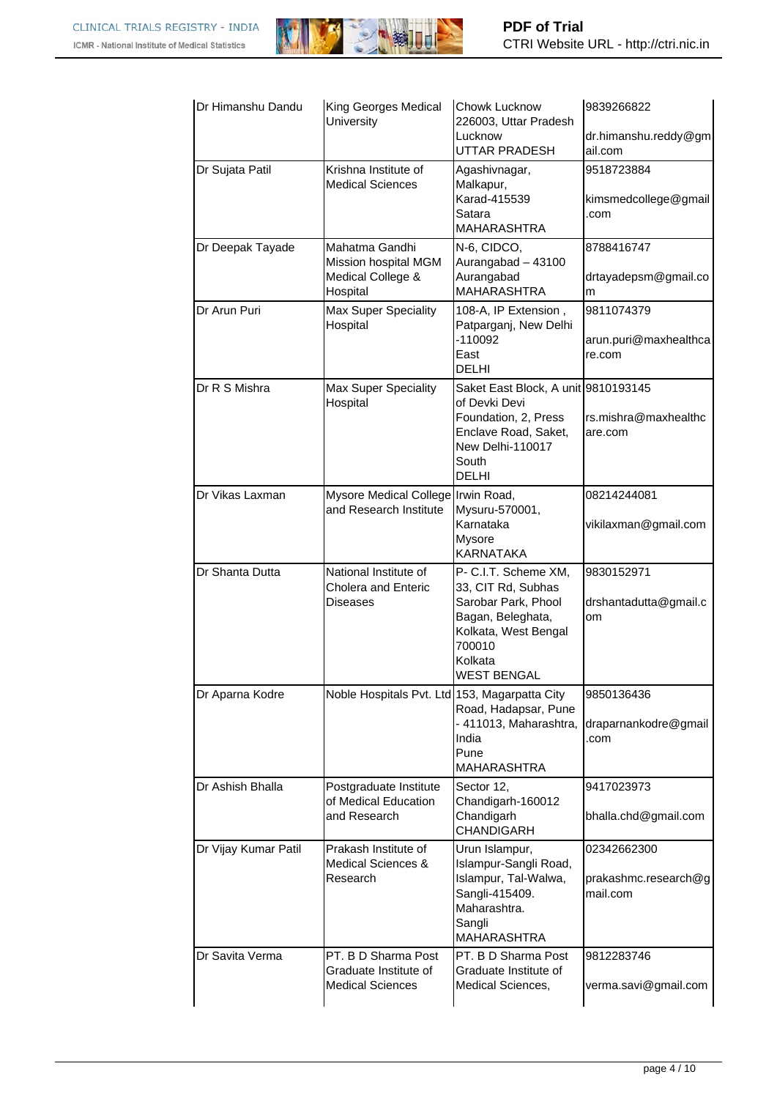

| Dr Himanshu Dandu    | King Georges Medical<br>University                                      | Chowk Lucknow<br>226003, Uttar Pradesh<br>Lucknow                                                                                                  | 9839266822<br>dr.himanshu.reddy@gm                    |
|----------------------|-------------------------------------------------------------------------|----------------------------------------------------------------------------------------------------------------------------------------------------|-------------------------------------------------------|
| Dr Sujata Patil      | Krishna Institute of<br><b>Medical Sciences</b>                         | UTTAR PRADESH<br>Agashivnagar,<br>Malkapur,<br>Karad-415539<br>Satara<br><b>MAHARASHTRA</b>                                                        | ail.com<br>9518723884<br>kimsmedcollege@gmail<br>.com |
| Dr Deepak Tayade     | Mahatma Gandhi<br>Mission hospital MGM<br>Medical College &<br>Hospital | N-6, CIDCO,<br>Aurangabad - 43100<br>Aurangabad<br><b>MAHARASHTRA</b>                                                                              | 8788416747<br>drtayadepsm@gmail.co<br>m               |
| Dr Arun Puri         | Max Super Speciality<br>Hospital                                        | 108-A, IP Extension,<br>Patparganj, New Delhi<br>$-110092$<br>East<br><b>DELHI</b>                                                                 | 9811074379<br>arun.puri@maxhealthca<br>re.com         |
| Dr R S Mishra        | <b>Max Super Speciality</b><br>Hospital                                 | Saket East Block, A unit 9810193145<br>of Devki Devi<br>Foundation, 2, Press<br>Enclave Road, Saket,<br>New Delhi-110017<br>South<br><b>DELHI</b>  | rs.mishra@maxhealthc<br>are.com                       |
| Dr Vikas Laxman      | Mysore Medical College Irwin Road,<br>and Research Institute            | Mysuru-570001,<br>Karnataka<br>Mysore<br><b>KARNATAKA</b>                                                                                          | 08214244081<br>vikilaxman@gmail.com                   |
| Dr Shanta Dutta      | National Institute of<br><b>Cholera and Enteric</b><br><b>Diseases</b>  | P- C.I.T. Scheme XM,<br>33, CIT Rd, Subhas<br>Sarobar Park, Phool<br>Bagan, Beleghata,<br>Kolkata, West Bengal<br>700010<br>Kolkata<br>WEST BENGAL | 9830152971<br>drshantadutta@gmail.c<br>om             |
| Dr Aparna Kodre      | Noble Hospitals Pvt. Ltd 153, Magarpatta City                           | Road, Hadapsar, Pune<br>- 411013, Maharashtra,<br>India<br>Pune<br><b>MAHARASHTRA</b>                                                              | 9850136436<br>draparnankodre@gmail<br>.com            |
| Dr Ashish Bhalla     | Postgraduate Institute<br>of Medical Education<br>and Research          | Sector 12,<br>Chandigarh-160012<br>Chandigarh<br><b>CHANDIGARH</b>                                                                                 | 9417023973<br>bhalla.chd@gmail.com                    |
| Dr Vijay Kumar Patil | Prakash Institute of<br><b>Medical Sciences &amp;</b><br>Research       | Urun Islampur,<br>Islampur-Sangli Road,<br>Islampur, Tal-Walwa,<br>Sangli-415409.<br>Maharashtra.<br>Sangli<br><b>MAHARASHTRA</b>                  | 02342662300<br>prakashmc.research@g<br>mail.com       |
| Dr Savita Verma      | PT. B D Sharma Post<br>Graduate Institute of<br><b>Medical Sciences</b> | PT. B D Sharma Post<br>Graduate Institute of<br>Medical Sciences,                                                                                  | 9812283746<br>verma.savi@gmail.com                    |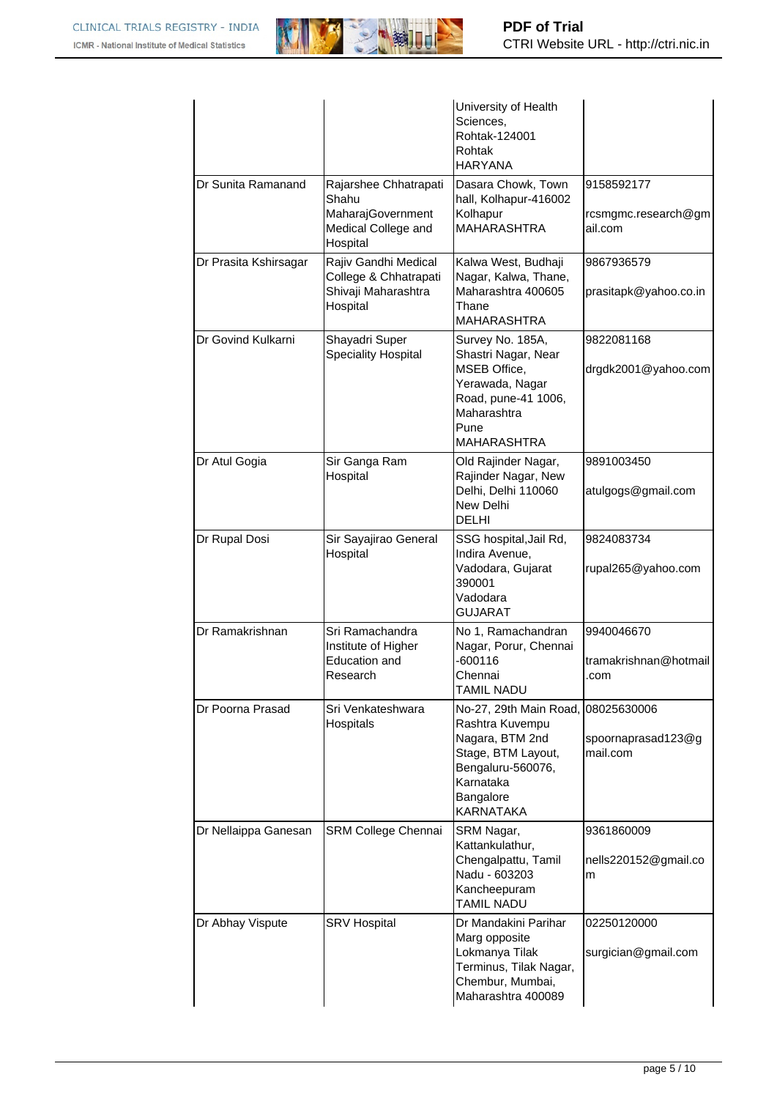

|                       |                                                                                        | University of Health<br>Sciences,<br>Rohtak-124001<br>Rohtak<br><b>HARYANA</b>                                                                                    |                                              |
|-----------------------|----------------------------------------------------------------------------------------|-------------------------------------------------------------------------------------------------------------------------------------------------------------------|----------------------------------------------|
| Dr Sunita Ramanand    | Rajarshee Chhatrapati<br>Shahu<br>MaharajGovernment<br>Medical College and<br>Hospital | Dasara Chowk, Town<br>hall, Kolhapur-416002<br>Kolhapur<br><b>MAHARASHTRA</b>                                                                                     | 9158592177<br>rcsmgmc.research@gm<br>ail.com |
| Dr Prasita Kshirsagar | Rajiv Gandhi Medical<br>College & Chhatrapati<br>Shivaji Maharashtra<br>Hospital       | Kalwa West, Budhaji<br>Nagar, Kalwa, Thane,<br>Maharashtra 400605<br>Thane<br><b>MAHARASHTRA</b>                                                                  | 9867936579<br>prasitapk@yahoo.co.in          |
| Dr Govind Kulkarni    | Shayadri Super<br><b>Speciality Hospital</b>                                           | Survey No. 185A,<br>Shastri Nagar, Near<br>MSEB Office,<br>Yerawada, Nagar<br>Road, pune-41 1006,<br>Maharashtra<br>Pune<br><b>MAHARASHTRA</b>                    | 9822081168<br>drgdk2001@yahoo.com            |
| Dr Atul Gogia         | Sir Ganga Ram<br>Hospital                                                              | Old Rajinder Nagar,<br>Rajinder Nagar, New<br>Delhi, Delhi 110060<br>New Delhi<br><b>DELHI</b>                                                                    | 9891003450<br>atulgogs@gmail.com             |
| Dr Rupal Dosi         | Sir Sayajirao General<br>Hospital                                                      | SSG hospital, Jail Rd,<br>Indira Avenue,<br>Vadodara, Gujarat<br>390001<br>Vadodara<br><b>GUJARAT</b>                                                             | 9824083734<br>rupal265@yahoo.com             |
| Dr Ramakrishnan       | Sri Ramachandra<br>Institute of Higher<br><b>Education and</b><br>Research             | No 1, Ramachandran<br>Nagar, Porur, Chennai<br>$-600116$<br>Chennai<br><b>TAMIL NADU</b>                                                                          | 9940046670<br>tramakrishnan@hotmail<br>.com  |
| Dr Poorna Prasad      | Sri Venkateshwara<br>Hospitals                                                         | No-27, 29th Main Road, 08025630006<br>Rashtra Kuvempu<br>Nagara, BTM 2nd<br>Stage, BTM Layout,<br>Bengaluru-560076,<br>Karnataka<br>Bangalore<br><b>KARNATAKA</b> | spoornaprasad123@g<br>mail.com               |
| Dr Nellaippa Ganesan  | SRM College Chennai                                                                    | SRM Nagar,<br>Kattankulathur,<br>Chengalpattu, Tamil<br>Nadu - 603203<br>Kancheepuram<br><b>TAMIL NADU</b>                                                        | 9361860009<br>nells220152@gmail.co<br>m      |
| Dr Abhay Vispute      | <b>SRV Hospital</b>                                                                    | Dr Mandakini Parihar<br>Marg opposite<br>Lokmanya Tilak<br>Terminus, Tilak Nagar,<br>Chembur, Mumbai,<br>Maharashtra 400089                                       | 02250120000<br>surgician@gmail.com           |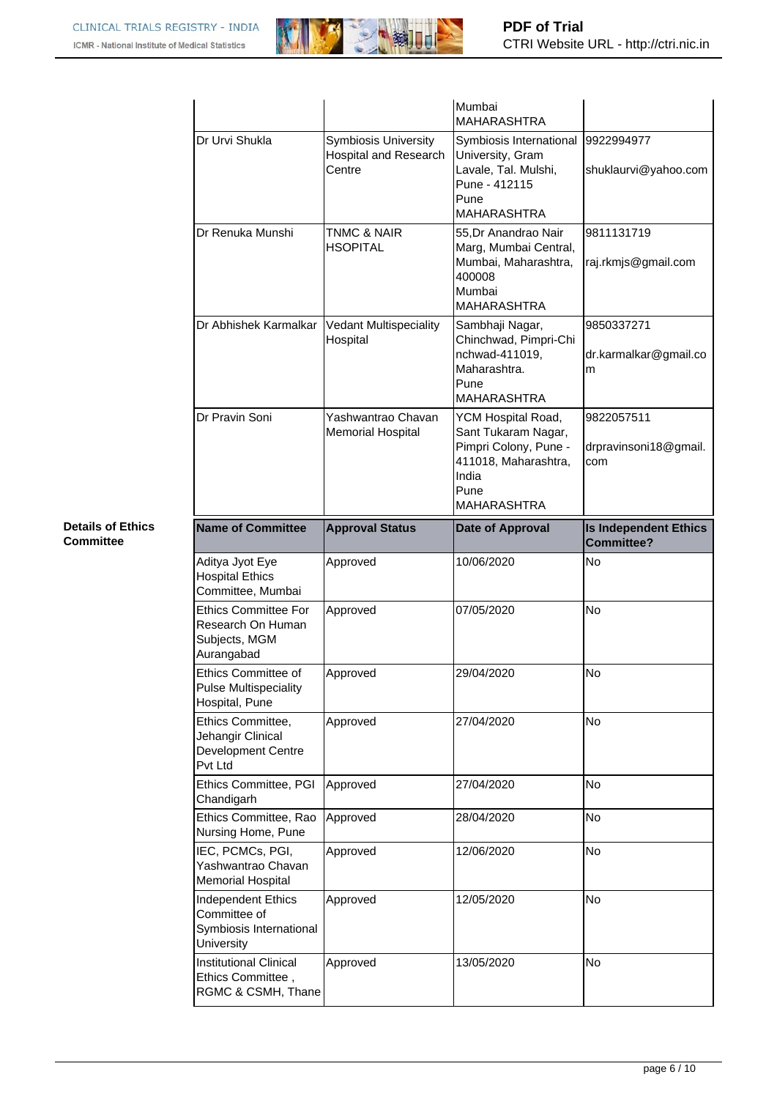

|                                                                                 |                                                                | Mumbai<br><b>MAHARASHTRA</b>                                                                                                      |                                                   |
|---------------------------------------------------------------------------------|----------------------------------------------------------------|-----------------------------------------------------------------------------------------------------------------------------------|---------------------------------------------------|
| Dr Urvi Shukla                                                                  | <b>Symbiosis University</b><br>Hospital and Research<br>Centre | Symbiosis International<br>University, Gram<br>Lavale, Tal. Mulshi,<br>Pune - 412115<br>Pune<br><b>MAHARASHTRA</b>                | 9922994977<br>shuklaurvi@yahoo.com                |
| Dr Renuka Munshi                                                                | <b>TNMC &amp; NAIR</b><br><b>HSOPITAL</b>                      | 55.Dr Anandrao Nair<br>Marg, Mumbai Central,<br>Mumbai, Maharashtra,<br>400008<br>Mumbai<br><b>MAHARASHTRA</b>                    | 9811131719<br>raj.rkmjs@gmail.com                 |
| Dr Abhishek Karmalkar                                                           | <b>Vedant Multispeciality</b><br>Hospital                      | Sambhaji Nagar,<br>Chinchwad, Pimpri-Chi<br>nchwad-411019,<br>Maharashtra.<br>Pune<br><b>MAHARASHTRA</b>                          | 9850337271<br>dr.karmalkar@gmail.co<br>m          |
| Dr Pravin Soni                                                                  | Yashwantrao Chavan<br><b>Memorial Hospital</b>                 | YCM Hospital Road,<br>Sant Tukaram Nagar,<br>Pimpri Colony, Pune -<br>411018, Maharashtra,<br>India<br>Pune<br><b>MAHARASHTRA</b> | 9822057511<br>drpravinsoni18@gmail.<br>com        |
| <b>Name of Committee</b>                                                        | <b>Approval Status</b>                                         | Date of Approval                                                                                                                  | <b>Is Independent Ethics</b><br><b>Committee?</b> |
|                                                                                 |                                                                |                                                                                                                                   |                                                   |
| Aditya Jyot Eye<br><b>Hospital Ethics</b><br>Committee, Mumbai                  | Approved                                                       | 10/06/2020                                                                                                                        | No                                                |
| <b>Ethics Committee For</b><br>Research On Human<br>Subjects, MGM<br>Aurangabad | Approved                                                       | 07/05/2020                                                                                                                        | <b>No</b>                                         |
| Ethics Committee of<br><b>Pulse Multispeciality</b><br>Hospital, Pune           | Approved                                                       | 29/04/2020                                                                                                                        | No                                                |
| Ethics Committee,<br>Jehangir Clinical<br>Development Centre<br>Pvt Ltd         | Approved                                                       | 27/04/2020                                                                                                                        | No                                                |
| Ethics Committee, PGI<br>Chandigarh                                             | Approved                                                       | 27/04/2020                                                                                                                        | No                                                |
| Ethics Committee, Rao<br>Nursing Home, Pune                                     | Approved                                                       | 28/04/2020                                                                                                                        | <b>No</b>                                         |
| IEC, PCMCs, PGI,<br>Yashwantrao Chavan<br><b>Memorial Hospital</b>              | Approved                                                       | 12/06/2020                                                                                                                        | No                                                |
| Independent Ethics<br>Committee of<br>Symbiosis International<br>University     | Approved                                                       | 12/05/2020                                                                                                                        | <b>No</b>                                         |

## **Details of Ethics Committee**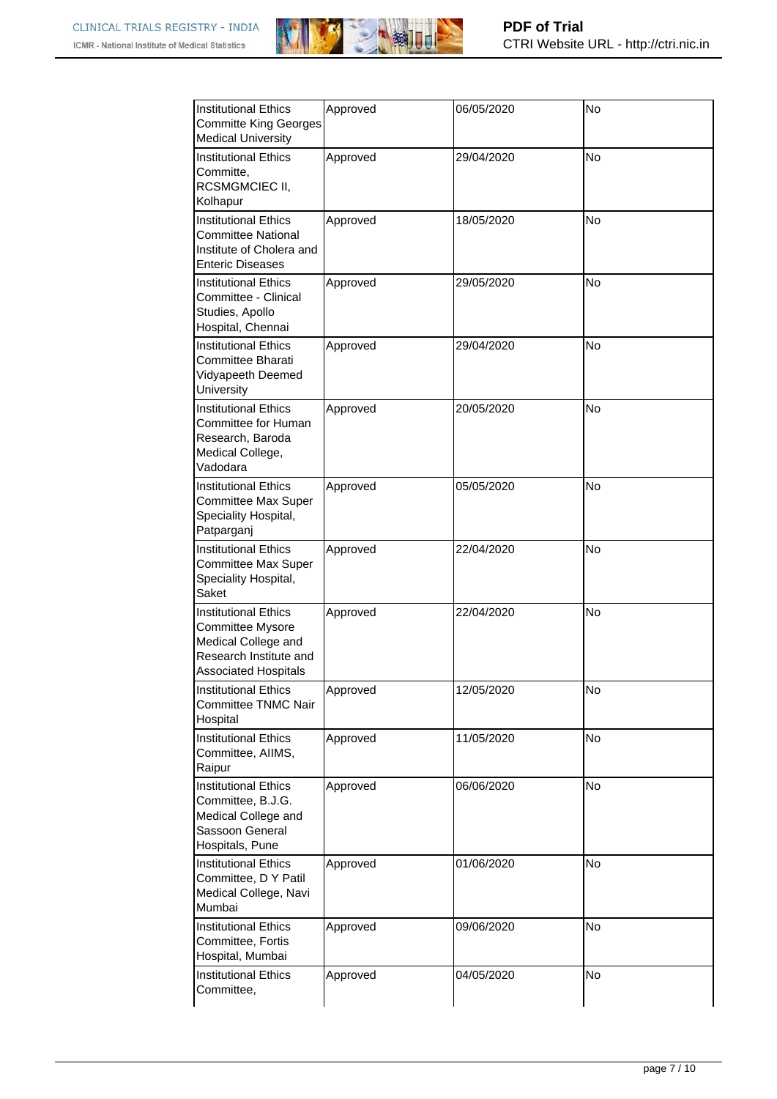

| <b>Institutional Ethics</b><br><b>Committe King Georges</b><br><b>Medical University</b>                                        | Approved | 06/05/2020 | <b>No</b> |
|---------------------------------------------------------------------------------------------------------------------------------|----------|------------|-----------|
| Institutional Ethics<br>Committe,<br>RCSMGMCIEC II,<br>Kolhapur                                                                 | Approved | 29/04/2020 | <b>No</b> |
| <b>Institutional Ethics</b><br><b>Committee National</b><br>Institute of Cholera and<br><b>Enteric Diseases</b>                 | Approved | 18/05/2020 | <b>No</b> |
| Institutional Ethics<br>Committee - Clinical<br>Studies, Apollo<br>Hospital, Chennai                                            | Approved | 29/05/2020 | No        |
| <b>Institutional Ethics</b><br>Committee Bharati<br>Vidyapeeth Deemed<br>University                                             | Approved | 29/04/2020 | <b>No</b> |
| <b>Institutional Ethics</b><br>Committee for Human<br>Research, Baroda<br>Medical College,<br>Vadodara                          | Approved | 20/05/2020 | <b>No</b> |
| Institutional Ethics<br><b>Committee Max Super</b><br>Speciality Hospital,<br>Patparganj                                        | Approved | 05/05/2020 | No        |
| <b>Institutional Ethics</b><br><b>Committee Max Super</b><br>Speciality Hospital,<br>Saket                                      | Approved | 22/04/2020 | <b>No</b> |
| Institutional Ethics<br><b>Committee Mysore</b><br>Medical College and<br>Research Institute and<br><b>Associated Hospitals</b> | Approved | 22/04/2020 | <b>No</b> |
| <b>Institutional Ethics</b><br><b>Committee TNMC Nair</b><br>Hospital                                                           | Approved | 12/05/2020 | No        |
| <b>Institutional Ethics</b><br>Committee, AIIMS,<br>Raipur                                                                      | Approved | 11/05/2020 | No        |
| <b>Institutional Ethics</b><br>Committee, B.J.G.<br>Medical College and<br>Sassoon General<br>Hospitals, Pune                   | Approved | 06/06/2020 | No        |
| <b>Institutional Ethics</b><br>Committee, D Y Patil<br>Medical College, Navi<br>Mumbai                                          | Approved | 01/06/2020 | No        |
| <b>Institutional Ethics</b><br>Committee, Fortis<br>Hospital, Mumbai                                                            | Approved | 09/06/2020 | <b>No</b> |
| <b>Institutional Ethics</b><br>Committee,                                                                                       | Approved | 04/05/2020 | No        |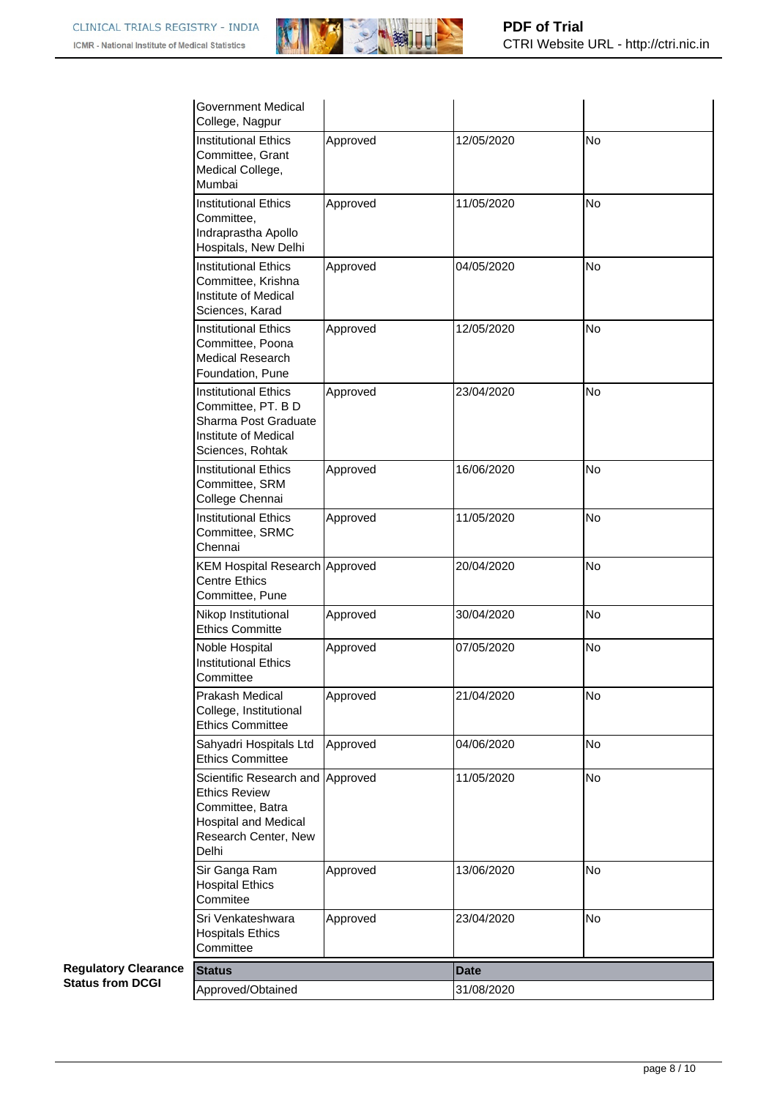

| Government Medical<br>College, Nagpur                                                                                               |          |             |           |
|-------------------------------------------------------------------------------------------------------------------------------------|----------|-------------|-----------|
| <b>Institutional Ethics</b><br>Committee, Grant<br>Medical College,<br>Mumbai                                                       | Approved | 12/05/2020  | No        |
| <b>Institutional Ethics</b><br>Committee,<br>Indraprastha Apollo<br>Hospitals, New Delhi                                            | Approved | 11/05/2020  | <b>No</b> |
| <b>Institutional Ethics</b><br>Committee, Krishna<br>Institute of Medical<br>Sciences, Karad                                        | Approved | 04/05/2020  | No        |
| <b>Institutional Ethics</b><br>Committee, Poona<br><b>Medical Research</b><br>Foundation, Pune                                      | Approved | 12/05/2020  | No        |
| <b>Institutional Ethics</b><br>Committee, PT. B D<br>Sharma Post Graduate<br>Institute of Medical<br>Sciences, Rohtak               | Approved | 23/04/2020  | No        |
| <b>Institutional Ethics</b><br>Committee, SRM<br>College Chennai                                                                    | Approved | 16/06/2020  | <b>No</b> |
| <b>Institutional Ethics</b><br>Committee, SRMC<br>Chennai                                                                           | Approved | 11/05/2020  | No        |
| <b>KEM Hospital Research Approved</b><br><b>Centre Ethics</b><br>Committee, Pune                                                    |          | 20/04/2020  | <b>No</b> |
| Nikop Institutional<br><b>Ethics Committe</b>                                                                                       | Approved | 30/04/2020  | <b>No</b> |
| Noble Hospital<br><b>Institutional Ethics</b><br>Committee                                                                          | Approved | 07/05/2020  | <b>No</b> |
| Prakash Medical<br>College, Institutional<br><b>Ethics Committee</b>                                                                | Approved | 21/04/2020  | No        |
| Sahyadri Hospitals Ltd<br><b>Ethics Committee</b>                                                                                   | Approved | 04/06/2020  | <b>No</b> |
| Scientific Research and<br><b>Ethics Review</b><br>Committee, Batra<br><b>Hospital and Medical</b><br>Research Center, New<br>Delhi | Approved | 11/05/2020  | <b>No</b> |
| Sir Ganga Ram<br><b>Hospital Ethics</b><br>Commitee                                                                                 | Approved | 13/06/2020  | <b>No</b> |
| Sri Venkateshwara<br><b>Hospitals Ethics</b><br>Committee                                                                           | Approved | 23/04/2020  | <b>No</b> |
| <b>Status</b>                                                                                                                       |          | <b>Date</b> |           |
| Approved/Obtained                                                                                                                   |          | 31/08/2020  |           |

**Regulatory Clearance Status from DCGI**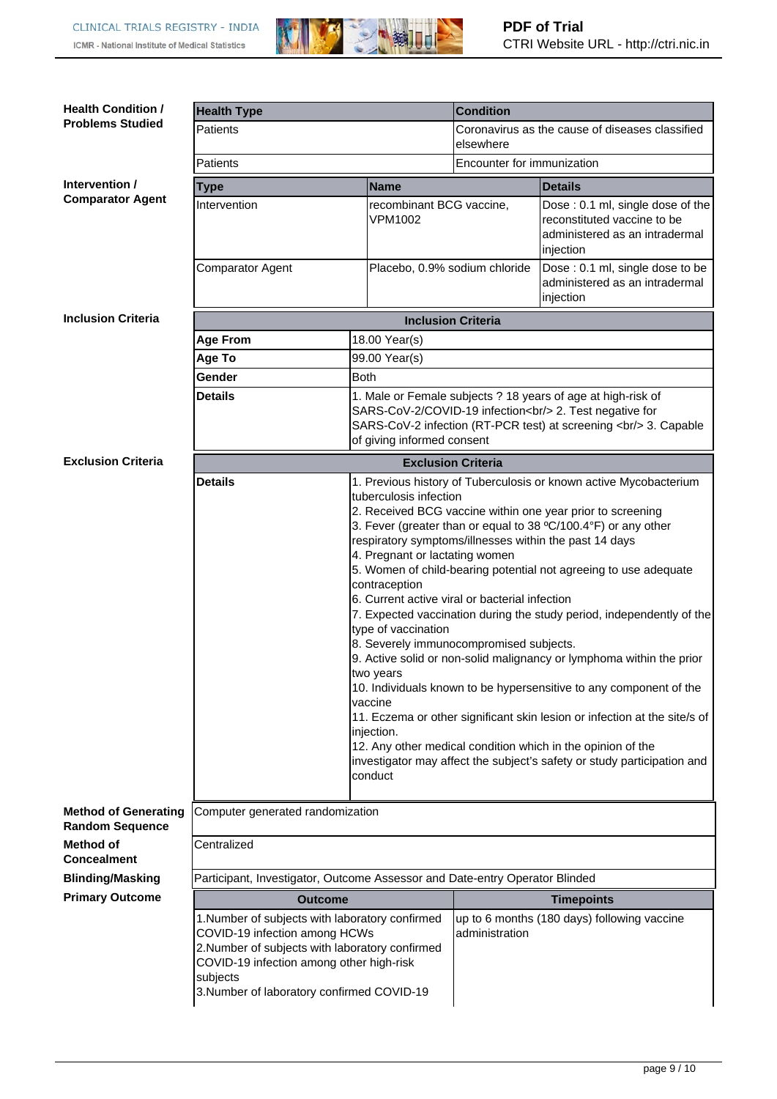

| <b>Health Condition /</b>                             | <b>Health Type</b>                                                                                                                                                                                                                        |                                            | <b>Condition</b>                                                                                                                                                                                                                                                                                                                                                                                                                                                                                                                                                                                                                                                                                                                                                                                                                                                           |                                                                                                                                                                                        |
|-------------------------------------------------------|-------------------------------------------------------------------------------------------------------------------------------------------------------------------------------------------------------------------------------------------|--------------------------------------------|----------------------------------------------------------------------------------------------------------------------------------------------------------------------------------------------------------------------------------------------------------------------------------------------------------------------------------------------------------------------------------------------------------------------------------------------------------------------------------------------------------------------------------------------------------------------------------------------------------------------------------------------------------------------------------------------------------------------------------------------------------------------------------------------------------------------------------------------------------------------------|----------------------------------------------------------------------------------------------------------------------------------------------------------------------------------------|
| <b>Problems Studied</b>                               | Patients                                                                                                                                                                                                                                  |                                            | Coronavirus as the cause of diseases classified<br>elsewhere                                                                                                                                                                                                                                                                                                                                                                                                                                                                                                                                                                                                                                                                                                                                                                                                               |                                                                                                                                                                                        |
|                                                       | Patients                                                                                                                                                                                                                                  |                                            | Encounter for immunization                                                                                                                                                                                                                                                                                                                                                                                                                                                                                                                                                                                                                                                                                                                                                                                                                                                 |                                                                                                                                                                                        |
| Intervention /                                        | Type                                                                                                                                                                                                                                      | <b>Name</b>                                |                                                                                                                                                                                                                                                                                                                                                                                                                                                                                                                                                                                                                                                                                                                                                                                                                                                                            | <b>Details</b>                                                                                                                                                                         |
| <b>Comparator Agent</b>                               | Intervention                                                                                                                                                                                                                              | recombinant BCG vaccine,<br><b>VPM1002</b> |                                                                                                                                                                                                                                                                                                                                                                                                                                                                                                                                                                                                                                                                                                                                                                                                                                                                            | Dose: 0.1 ml, single dose of the<br>reconstituted vaccine to be<br>administered as an intradermal<br>injection                                                                         |
|                                                       | Comparator Agent                                                                                                                                                                                                                          | Placebo, 0.9% sodium chloride              |                                                                                                                                                                                                                                                                                                                                                                                                                                                                                                                                                                                                                                                                                                                                                                                                                                                                            | Dose: 0.1 ml, single dose to be<br>administered as an intradermal<br>injection                                                                                                         |
| <b>Inclusion Criteria</b>                             |                                                                                                                                                                                                                                           | <b>Inclusion Criteria</b>                  |                                                                                                                                                                                                                                                                                                                                                                                                                                                                                                                                                                                                                                                                                                                                                                                                                                                                            |                                                                                                                                                                                        |
|                                                       | <b>Age From</b>                                                                                                                                                                                                                           | 18.00 Year(s)                              |                                                                                                                                                                                                                                                                                                                                                                                                                                                                                                                                                                                                                                                                                                                                                                                                                                                                            |                                                                                                                                                                                        |
|                                                       | Age To                                                                                                                                                                                                                                    | 99.00 Year(s)                              |                                                                                                                                                                                                                                                                                                                                                                                                                                                                                                                                                                                                                                                                                                                                                                                                                                                                            |                                                                                                                                                                                        |
|                                                       | Gender                                                                                                                                                                                                                                    | <b>Both</b>                                |                                                                                                                                                                                                                                                                                                                                                                                                                                                                                                                                                                                                                                                                                                                                                                                                                                                                            |                                                                                                                                                                                        |
|                                                       | <b>Details</b>                                                                                                                                                                                                                            | of giving informed consent                 |                                                                                                                                                                                                                                                                                                                                                                                                                                                                                                                                                                                                                                                                                                                                                                                                                                                                            | 1. Male or Female subjects ? 18 years of age at high-risk of<br>SARS-CoV-2/COVID-19 infection<br>cbr/> 2. Test negative for<br>SARS-CoV-2 infection (RT-PCR test) at screening<br><br> |
| <b>Exclusion Criteria</b>                             |                                                                                                                                                                                                                                           | <b>Exclusion Criteria</b>                  |                                                                                                                                                                                                                                                                                                                                                                                                                                                                                                                                                                                                                                                                                                                                                                                                                                                                            |                                                                                                                                                                                        |
|                                                       | <b>Details</b><br>tuberculosis infection<br>4. Pregnant or lactating women<br>contraception<br>type of vaccination<br>two years<br>vaccine<br>injection.<br>conduct                                                                       |                                            | 1. Previous history of Tuberculosis or known active Mycobacterium<br>2. Received BCG vaccine within one year prior to screening<br>3. Fever (greater than or equal to 38 °C/100.4°F) or any other<br>respiratory symptoms/illnesses within the past 14 days<br>5. Women of child-bearing potential not agreeing to use adequate<br>6. Current active viral or bacterial infection<br>7. Expected vaccination during the study period, independently of the<br>8. Severely immunocompromised subjects.<br>9. Active solid or non-solid malignancy or lymphoma within the prior<br>10. Individuals known to be hypersensitive to any component of the<br>11. Eczema or other significant skin lesion or infection at the site/s of<br>12. Any other medical condition which in the opinion of the<br>investigator may affect the subject's safety or study participation and |                                                                                                                                                                                        |
| <b>Method of Generating</b><br><b>Random Sequence</b> | Computer generated randomization                                                                                                                                                                                                          |                                            |                                                                                                                                                                                                                                                                                                                                                                                                                                                                                                                                                                                                                                                                                                                                                                                                                                                                            |                                                                                                                                                                                        |
| Method of<br><b>Concealment</b>                       | Centralized                                                                                                                                                                                                                               |                                            |                                                                                                                                                                                                                                                                                                                                                                                                                                                                                                                                                                                                                                                                                                                                                                                                                                                                            |                                                                                                                                                                                        |
| <b>Blinding/Masking</b>                               | Participant, Investigator, Outcome Assessor and Date-entry Operator Blinded                                                                                                                                                               |                                            |                                                                                                                                                                                                                                                                                                                                                                                                                                                                                                                                                                                                                                                                                                                                                                                                                                                                            |                                                                                                                                                                                        |
| <b>Primary Outcome</b>                                | <b>Outcome</b>                                                                                                                                                                                                                            |                                            |                                                                                                                                                                                                                                                                                                                                                                                                                                                                                                                                                                                                                                                                                                                                                                                                                                                                            | <b>Timepoints</b>                                                                                                                                                                      |
|                                                       | 1. Number of subjects with laboratory confirmed<br>COVID-19 infection among HCWs<br>2. Number of subjects with laboratory confirmed<br>COVID-19 infection among other high-risk<br>subjects<br>3. Number of laboratory confirmed COVID-19 |                                            | administration                                                                                                                                                                                                                                                                                                                                                                                                                                                                                                                                                                                                                                                                                                                                                                                                                                                             | up to 6 months (180 days) following vaccine                                                                                                                                            |